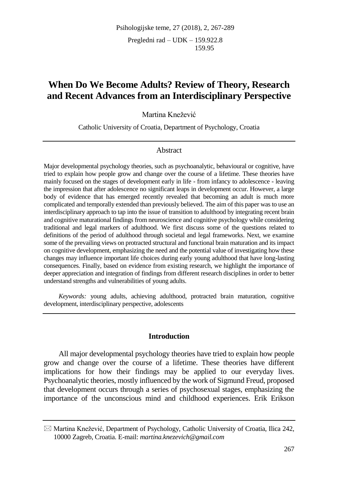# **When Do We Become Adults? Review of Theory, Research and Recent Advances from an Interdisciplinary Perspective**

Martina Knežević

Catholic University of Croatia, Department of Psychology, Croatia

### Abstract

Major developmental psychology theories, such as psychoanalytic, behavioural or cognitive, have tried to explain how people grow and change over the course of a lifetime. These theories have mainly focused on the stages of development early in life - from infancy to adolescence - leaving the impression that after adolescence no significant leaps in development occur. However, a large body of evidence that has emerged recently revealed that becoming an adult is much more complicated and temporally extended than previously believed. The aim of this paper was to use an interdisciplinary approach to tap into the issue of transition to adulthood by integrating recent brain and cognitive maturational findings from neuroscience and cognitive psychology while considering traditional and legal markers of adulthood. We first discuss some of the questions related to definitions of the period of adulthood through societal and legal frameworks. Next, we examine some of the prevailing views on protracted structural and functional brain maturation and its impact on cognitive development, emphasizing the need and the potential value of investigating how these changes may influence important life choices during early young adulthood that have long-lasting consequences. Finally, based on evidence from existing research, we highlight the importance of deeper appreciation and integration of findings from different research disciplines in order to better understand strengths and vulnerabilities of young adults.

*Keywords:* young adults, achieving adulthood, protracted brain maturation, cognitive development, interdisciplinary perspective, adolescents

#### **Introduction**

All major developmental psychology theories have tried to explain how people grow and change over the course of a lifetime. These theories have different implications for how their findings may be applied to our everyday lives. Psychoanalytic theories, mostly influenced by the work of Sigmund Freud, proposed that development occurs through a series of psychosexual stages, emphasizing the importance of the unconscious mind and childhood experiences. Erik Erikson

 $\boxtimes$  Martina Knežević, Department of Psychology, Catholic University of Croatia, Ilica 242, 10000 Zagreb, Croatia. E-mail: *martina.knezevich@gmail.com*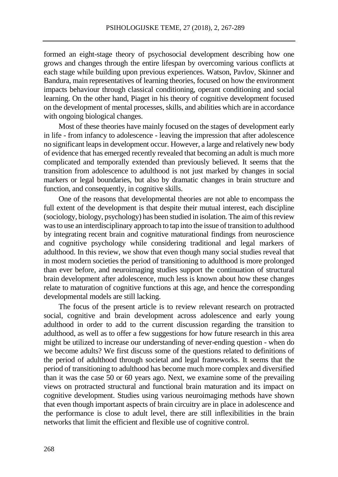formed an eight-stage theory of psychosocial development describing how one grows and changes through the entire lifespan by overcoming various conflicts at each stage while building upon previous experiences. Watson, Pavlov, Skinner and Bandura, main representatives of learning theories, focused on how the environment impacts behaviour through classical conditioning, operant conditioning and social learning. On the other hand, Piaget in his theory of cognitive development focused on the development of mental processes, skills, and abilities which are in accordance with ongoing biological changes.

Most of these theories have mainly focused on the stages of development early in life - from infancy to adolescence - leaving the impression that after adolescence no significant leaps in development occur. However, a large and relatively new body of evidence that has emerged recently revealed that becoming an adult is much more complicated and temporally extended than previously believed. It seems that the transition from adolescence to adulthood is not just marked by changes in social markers or legal boundaries, but also by dramatic changes in brain structure and function, and consequently, in cognitive skills.

One of the reasons that developmental theories are not able to encompass the full extent of the development is that despite their mutual interest, each discipline (sociology, biology, psychology) has been studied in isolation. The aim of this review was to use an interdisciplinary approach to tap into the issue of transition to adulthood by integrating recent brain and cognitive maturational findings from neuroscience and cognitive psychology while considering traditional and legal markers of adulthood. In this review, we show that even though many social studies reveal that in most modern societies the period of transitioning to adulthood is more prolonged than ever before, and neuroimaging studies support the continuation of structural brain development after adolescence, much less is known about how these changes relate to maturation of cognitive functions at this age, and hence the corresponding developmental models are still lacking.

The focus of the present article is to review relevant research on protracted social, cognitive and brain development across adolescence and early young adulthood in order to add to the current discussion regarding the transition to adulthood, as well as to offer a few suggestions for how future research in this area might be utilized to increase our understanding of never-ending question - when do we become adults? We first discuss some of the questions related to definitions of the period of adulthood through societal and legal frameworks. It seems that the period of transitioning to adulthood has become much more complex and diversified than it was the case 50 or 60 years ago. Next, we examine some of the prevailing views on protracted structural and functional brain maturation and its impact on cognitive development. Studies using various neuroimaging methods have shown that even though important aspects of brain circuitry are in place in adolescence and the performance is close to adult level, there are still inflexibilities in the brain networks that limit the efficient and flexible use of cognitive control.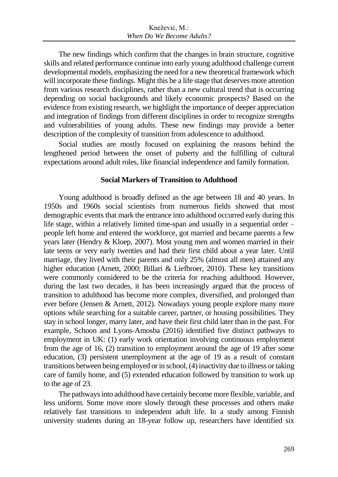The new findings which confirm that the changes in brain structure, cognitive skills and related performance continue into early young adulthood challenge current developmental models, emphasizing the need for a new theoretical framework which will incorporate these findings. Might this be a life stage that deserves more attention from various research disciplines, rather than a new cultural trend that is occurring depending on social backgrounds and likely economic prospects? Based on the evidence from existing research, we highlight the importance of deeper appreciation and integration of findings from different disciplines in order to recognize strengths and vulnerabilities of young adults. These new findings may provide a better description of the complexity of transition from adolescence to adulthood.

Social studies are mostly focused on explaining the reasons behind the lengthened period between the onset of puberty and the fulfilling of cultural expectations around adult roles, like financial independence and family formation.

### **Social Markers of Transition to Adulthood**

Young adulthood is broadly defined as the age between 18 and 40 years. In 1950s and 1960s social scientists from numerous fields showed that most demographic events that mark the entrance into adulthood occurred early during this life stage, within a relatively limited time-span and usually in a sequential order – people left home and entered the workforce, got married and became parents a few years later (Hendry & Kloep, 2007). Most young men and women married in their late teens or very early twenties and had their first child about a year later. Until marriage, they lived with their parents and only 25% (almost all men) attained any higher education (Arnett, 2000; Billari & Liefbroer, 2010). These key transitions were commonly considered to be the criteria for reaching adulthood. However, during the last two decades, it has been increasingly argued that the process of transition to adulthood has become more complex, diversified, and prolonged than ever before (Jensen & Arnett, 2012). Nowadays young people explore many more options while searching for a suitable career, partner, or housing possibilities. They stay in school longer, marry later, and have their first child later than in the past. For example, Schoon and Lyons-Amosba (2016) identified five distinct pathways to employment in UK: (1) early work orientation involving continuous employment from the age of 16, (2) transition to employment around the age of 19 after some education, (3) persistent unemployment at the age of 19 as a result of constant transitions between being employed or in school, (4) inactivity due to illness or taking care of family home, and (5) extended education followed by transition to work up to the age of 23.

The pathways into adulthood have certainly become more flexible, variable, and less uniform. Some move more slowly through these processes and others make relatively fast transitions to independent adult life. In a study among Finnish university students during an 18-year follow up, researchers have identified six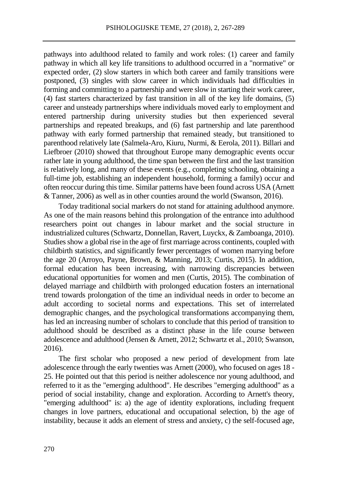pathways into adulthood related to family and work roles: (1) career and family pathway in which all key life transitions to adulthood occurred in a "normative" or expected order, (2) slow starters in which both career and family transitions were postponed, (3) singles with slow career in which individuals had difficulties in forming and committing to a partnership and were slow in starting their work career, (4) fast starters characterized by fast transition in all of the key life domains, (5) career and unsteady partnerships where individuals moved early to employment and entered partnership during university studies but then experienced several partnerships and repeated breakups, and (6) fast partnership and late parenthood pathway with early formed partnership that remained steady, but transitioned to parenthood relatively late (Salmela-Aro, Kiuru, Nurmi, & Eerola, 2011). Billari and Liefbroer (2010) showed that throughout Europe many demographic events occur rather late in young adulthood, the time span between the first and the last transition is relatively long, and many of these events (e.g., completing schooling, obtaining a full-time job, establishing an independent household, forming a family) occur and often reoccur during this time. Similar patterns have been found across USA (Arnett & Tanner, 2006) as well as in other counties around the world (Swanson, 2016).

Today traditional social markers do not stand for attaining adulthood anymore. As one of the main reasons behind this prolongation of the entrance into adulthood researchers point out changes in labour market and the social structure in industrialized cultures (Schwartz, Donnellan, Ravert, Luyckx, & Zamboanga, 2010). Studies show a global rise in the age of first marriage across continents, coupled with childbirth statistics, and significantly fewer percentages of women marrying before the age 20 (Arroyo, Payne, Brown, & Manning, 2013; Curtis, 2015). In addition, formal education has been increasing, with narrowing discrepancies between educational opportunities for women and men (Curtis, 2015). The combination of delayed marriage and childbirth with prolonged education fosters an international trend towards prolongation of the time an individual needs in order to become an adult according to societal norms and expectations. This set of interrelated demographic changes, and the psychological transformations accompanying them, has led an increasing number of scholars to conclude that this period of transition to adulthood should be described as a distinct phase in the life course between adolescence and adulthood (Jensen & Arnett, 2012; Schwartz et al., 2010; Swanson, 2016).

The first scholar who proposed a new period of development from late adolescence through the early twenties was Arnett (2000), who focused on ages 18 - 25. He pointed out that this period is neither adolescence nor young adulthood, and referred to it as the "emerging adulthood". He describes "emerging adulthood" as a period of social instability, change and exploration. According to Arnett's theory, "emerging adulthood" is: a) the age of identity explorations, including frequent changes in love partners, educational and occupational selection, b) the age of instability, because it adds an element of stress and anxiety, c) the self-focused age,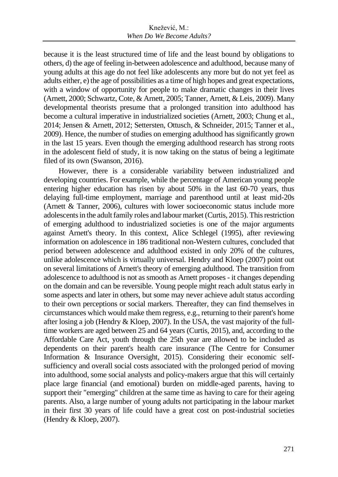because it is the least structured time of life and the least bound by obligations to others, d) the age of feeling in-between adolescence and adulthood, because many of young adults at this age do not feel like adolescents any more but do not yet feel as adults either, e) the age of possibilities as a time of high hopes and great expectations, with a window of opportunity for people to make dramatic changes in their lives (Arnett, 2000; Schwartz, Cote, & Arnett, 2005; Tanner, Arnett, & Leis, 2009). Many developmental theorists presume that a prolonged transition into adulthood has become a cultural imperative in industrialized societies (Arnett, 2003; Chung et al., 2014; Jensen & Arnett, 2012; Settersten, Ottusch, & Schneider, 2015; Tanner et al., 2009). Hence, the number of studies on emerging adulthood has significantly grown in the last 15 years. Even though the emerging adulthood research has strong roots in the adolescent field of study, it is now taking on the status of being a legitimate filed of its own (Swanson, 2016).

However, there is a considerable variability between industrialized and developing countries. For example, while the percentage of American young people entering higher education has risen by about 50% in the last 60-70 years, thus delaying full-time employment, marriage and parenthood until at least mid-20s (Arnett & Tanner, 2006), cultures with lower socioeconomic status include more adolescents in the adult family roles and labour market (Curtis, 2015). This restriction of emerging adulthood to industrialized societies is one of the major arguments against Arnett's theory. In this context, Alice Schlegel (1995), after reviewing information on adolescence in 186 traditional non-Western cultures, concluded that period between adolescence and adulthood existed in only 20% of the cultures, unlike adolescence which is virtually universal. Hendry and Kloep (2007) point out on several limitations of Arnett's theory of emerging adulthood. The transition from adolescence to adulthood is not as smooth as Arnett proposes - it changes depending on the domain and can be reversible. Young people might reach adult status early in some aspects and later in others, but some may never achieve adult status according to their own perceptions or social markers. Thereafter, they can find themselves in circumstances which would make them regress, e.g., returning to their parent's home after losing a job (Hendry  $&$  Kloep, 2007). In the USA, the vast majority of the fulltime workers are aged between 25 and 64 years (Curtis, 2015), and, according to the Affordable Care Act, youth through the 25th year are allowed to be included as dependents on their parent's health care insurance (The Centre for Consumer Information & Insurance Oversight, 2015). Considering their economic selfsufficiency and overall social costs associated with the prolonged period of moving into adulthood, some social analysts and policy-makers argue that this will certainly place large financial (and emotional) burden on middle-aged parents, having to support their "emerging" children at the same time as having to care for their ageing parents. Also, a large number of young adults not participating in the labour market in their first 30 years of life could have a great cost on post-industrial societies (Hendry & Kloep, 2007).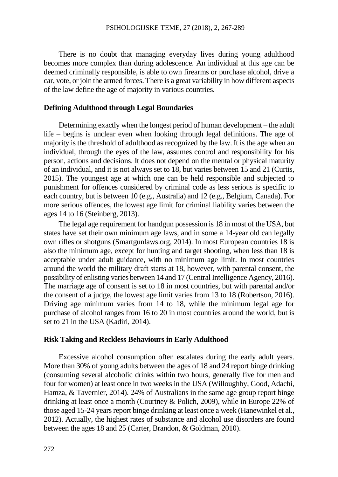There is no doubt that managing everyday lives during young adulthood becomes more complex than during adolescence. An individual at this age can be deemed criminally responsible, is able to own firearms or purchase alcohol, drive a car, vote, or join the armed forces. There is a great variability in how different aspects of the law define the age of majority in various countries.

#### **Defining Adulthood through Legal Boundaries**

Determining exactly when the longest period of human development – the adult life – begins is unclear even when looking through legal definitions. The age of majority is the threshold of adulthood as recognized by the law. It is the age when an individual, through the eyes of the law, assumes control and responsibility for his person, actions and decisions. It does not depend on the mental or physical maturity of an individual, and it is not always set to 18, but varies between 15 and 21 (Curtis, 2015). The youngest age at which one can be held responsible and subjected to punishment for offences considered by criminal code as less serious is specific to each country, but is between 10 (e.g., Australia) and 12 (e.g., Belgium, Canada). For more serious offences, the lowest age limit for criminal liability varies between the ages 14 to 16 (Steinberg, 2013).

The legal age requirement for handgun possession is 18 in most of the USA, but states have set their own minimum age laws, and in some a 14-year old can legally own rifles or shotguns (Smartgunlaws.org, 2014). In most European countries 18 is also the minimum age, except for hunting and target shooting, when less than 18 is acceptable under adult guidance, with no minimum age limit. In most countries around the world the military draft starts at 18, however, with parental consent, the possibility of enlisting varies between 14 and 17 (Central Intelligence Agency, 2016). The marriage age of consent is set to 18 in most countries, but with parental and/or the consent of a judge, the lowest age limit varies from 13 to 18 (Robertson, 2016). Driving age minimum varies from 14 to 18, while the minimum legal age for purchase of alcohol ranges from 16 to 20 in most countries around the world, but is set to 21 in the USA (Kadiri, 2014).

#### **Risk Taking and Reckless Behaviours in Early Adulthood**

Excessive alcohol consumption often escalates during the early adult years. More than 30% of young adults between the ages of 18 and 24 report binge drinking (consuming several alcoholic drinks within two hours, generally five for men and four for women) at least once in two weeks in the USA (Willoughby, Good, Adachi, Hamza, & Tavernier, 2014). 24% of Australians in the same age group report binge drinking at least once a month (Courtney & Polich, 2009), while in Europe 22% of those aged 15-24 years report binge drinking at least once a week (Hanewinkel et al., 2012). Actually, the highest rates of substance and alcohol use disorders are found between the ages 18 and 25 (Carter, Brandon, & Goldman, 2010).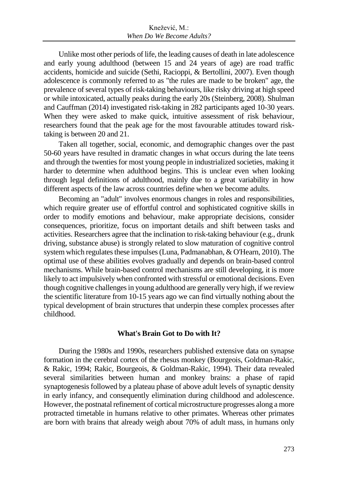Unlike most other periods of life, the leading causes of death in late adolescence and early young adulthood (between 15 and 24 years of age) are road traffic accidents, homicide and suicide (Sethi, Racioppi, & Bertollini, 2007). Even though adolescence is commonly referred to as "the rules are made to be broken" age, the prevalence of several types of risk-taking behaviours, like risky driving at high speed or while intoxicated, actually peaks during the early 20s (Steinberg, 2008). Shulman and Cauffman (2014) investigated risk-taking in 282 participants aged 10-30 years. When they were asked to make quick, intuitive assessment of risk behaviour, researchers found that the peak age for the most favourable attitudes toward risktaking is between 20 and 21.

Taken all together, social, economic, and demographic changes over the past 50-60 years have resulted in dramatic changes in what occurs during the late teens and through the twenties for most young people in industrialized societies, making it harder to determine when adulthood begins. This is unclear even when looking through legal definitions of adulthood, mainly due to a great variability in how different aspects of the law across countries define when we become adults.

Becoming an "adult" involves enormous changes in roles and responsibilities, which require greater use of effortful control and sophisticated cognitive skills in order to modify emotions and behaviour, make appropriate decisions, consider consequences, prioritize, focus on important details and shift between tasks and activities. Researchers agree that the inclination to risk-taking behaviour (e.g., drunk driving, substance abuse) is strongly related to slow maturation of cognitive control system which regulates these impulses (Luna, Padmanabhan, & O'Hearn, 2010). The optimal use of these abilities evolves gradually and depends on brain-based control mechanisms. While brain-based control mechanisms are still developing, it is more likely to act impulsively when confronted with stressful or emotional decisions. Even though cognitive challenges in young adulthood are generally very high, if we review the scientific literature from 10-15 years ago we can find virtually nothing about the typical development of brain structures that underpin these complex processes after childhood.

### **What's Brain Got to Do with It?**

During the 1980s and 1990s, researchers published extensive data on synapse formation in the cerebral cortex of the rhesus monkey (Bourgeois, Goldman-Rakic, & Rakic, 1994; Rakic, Bourgeois, & Goldman-Rakic, 1994). Their data revealed several similarities between human and monkey brains: a phase of rapid synaptogenesis followed by a plateau phase of above adult levels of synaptic density in early infancy, and consequently elimination during childhood and adolescence. However, the postnatal refinement of cortical microstructure progresses along a more protracted timetable in humans relative to other primates. Whereas other primates are born with brains that already weigh about 70% of adult mass, in humans only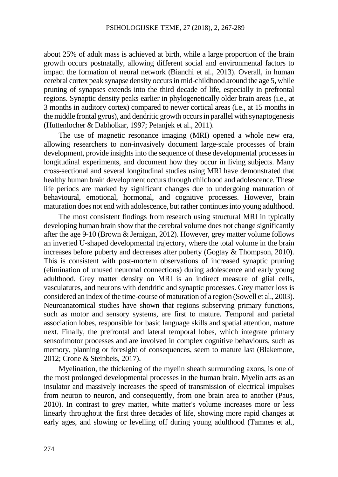about 25% of adult mass is achieved at birth, while a large proportion of the brain growth occurs postnatally, allowing different social and environmental factors to impact the formation of neural network (Bianchi et al., 2013). Overall, in human cerebral cortex peak synapse density occurs in mid-childhood around the age 5, while pruning of synapses extends into the third decade of life, especially in prefrontal regions. Synaptic density peaks earlier in phylogenetically older brain areas (i.e., at 3 months in auditory cortex) compared to newer cortical areas (i.e., at 15 months in the middle frontal gyrus), and dendritic growth occurs in parallel with synaptogenesis (Huttenlocher & Dabholkar, 1997; Petanjek et al., 2011).

The use of magnetic resonance imaging (MRI) opened a whole new era, allowing researchers to non-invasively document large-scale processes of brain development, provide insights into the sequence of these developmental processes in longitudinal experiments, and document how they occur in living subjects. Many cross-sectional and several longitudinal studies using MRI have demonstrated that healthy human brain development occurs through childhood and adolescence. These life periods are marked by significant changes due to undergoing maturation of behavioural, emotional, hormonal, and cognitive processes. However, brain maturation does not end with adolescence, but rather continues into young adulthood.

The most consistent findings from research using structural MRI in typically developing human brain show that the cerebral volume does not change significantly after the age 9-10 (Brown & Jernigan, 2012). However, grey matter volume follows an inverted U-shaped developmental trajectory, where the total volume in the brain increases before puberty and decreases after puberty (Gogtay & Thompson, 2010). This is consistent with post-mortem observations of increased synaptic pruning (elimination of unused neuronal connections) during adolescence and early young adulthood. Grey matter density on MRI is an indirect measure of glial cells, vasculatures, and neurons with dendritic and synaptic processes. Grey matter loss is considered an index of the time-course of maturation of a region (Sowell et al., 2003). Neuroanatomical studies have shown that regions subserving primary functions, such as motor and sensory systems, are first to mature. Temporal and parietal association lobes, responsible for basic language skills and spatial attention, mature next. Finally, the prefrontal and lateral temporal lobes, which integrate primary sensorimotor processes and are involved in complex cognitive behaviours, such as memory, planning or foresight of consequences, seem to mature last (Blakemore, 2012; Crone & Steinbeis, 2017).

Myelination, the thickening of the myelin sheath surrounding axons, is one of the most prolonged developmental processes in the human brain. Myelin acts as an insulator and massively increases the speed of transmission of electrical impulses from neuron to neuron, and consequently, from one brain area to another (Paus, 2010). In contrast to grey matter, white matter's volume increases more or less linearly throughout the first three decades of life, showing more rapid changes at early ages, and slowing or levelling off during young adulthood (Tamnes et al.,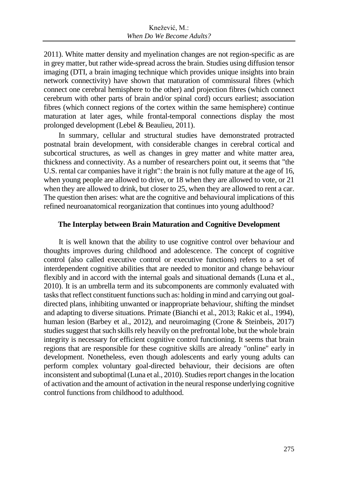2011). White matter density and myelination changes are not region-specific as are in grey matter, but rather wide-spread across the brain. Studies using diffusion tensor imaging (DTI, a brain imaging technique which provides unique insights into brain network connectivity) have shown that maturation of commissural fibres (which connect one cerebral hemisphere to the other) and projection fibres (which connect cerebrum with other parts of brain and/or spinal cord) occurs earliest; association fibres (which connect regions of the cortex within the same hemisphere) continue maturation at later ages, while frontal-temporal connections display the most prolonged development (Lebel & Beaulieu, 2011).

In summary, cellular and structural studies have demonstrated protracted postnatal brain development, with considerable changes in cerebral cortical and subcortical structures, as well as changes in grey matter and white matter area, thickness and connectivity. As a number of researchers point out, it seems that "the U.S. rental car companies have it right": the brain is not fully mature at the age of 16, when young people are allowed to drive, or 18 when they are allowed to vote, or 21 when they are allowed to drink, but closer to 25, when they are allowed to rent a car. The question then arises: what are the cognitive and behavioural implications of this refined neuroanatomical reorganization that continues into young adulthood?

### **The Interplay between Brain Maturation and Cognitive Development**

It is well known that the ability to use cognitive control over behaviour and thoughts improves during childhood and adolescence. The concept of cognitive control (also called executive control or executive functions) refers to a set of interdependent cognitive abilities that are needed to monitor and change behaviour flexibly and in accord with the internal goals and situational demands (Luna et al., 2010). It is an umbrella term and its subcomponents are commonly evaluated with tasks that reflect constituent functions such as: holding in mind and carrying out goaldirected plans, inhibiting unwanted or inappropriate behaviour, shifting the mindset and adapting to diverse situations. Primate (Bianchi et al., 2013; Rakic et al., 1994), human lesion (Barbey et al., 2012), and neuroimaging (Crone & Steinbeis, 2017) studies suggest that such skills rely heavily on the prefrontal lobe, but the whole brain integrity is necessary for efficient cognitive control functioning. It seems that brain regions that are responsible for these cognitive skills are already "online" early in development. Nonetheless, even though adolescents and early young adults can perform complex voluntary goal-directed behaviour, their decisions are often inconsistent and suboptimal (Luna et al., 2010). Studies report changes in the location of activation and the amount of activation in the neural response underlying cognitive control functions from childhood to adulthood.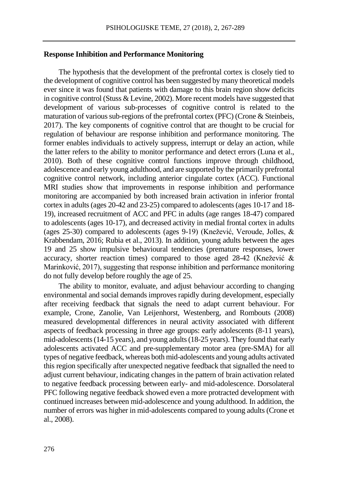### **Response Inhibition and Performance Monitoring**

The hypothesis that the development of the prefrontal cortex is closely tied to the development of cognitive control has been suggested by many theoretical models ever since it was found that patients with damage to this brain region show deficits in cognitive control (Stuss  $\&$  Levine, 2002). More recent models have suggested that development of various sub-processes of cognitive control is related to the maturation of various sub-regions of the prefrontal cortex (PFC) (Crone & Steinbeis, 2017). The key components of cognitive control that are thought to be crucial for regulation of behaviour are response inhibition and performance monitoring. The former enables individuals to actively suppress, interrupt or delay an action, while the latter refers to the ability to monitor performance and detect errors (Luna et al., 2010). Both of these cognitive control functions improve through childhood, adolescence and early young adulthood, and are supported by the primarily prefrontal cognitive control network, including anterior cingulate cortex (ACC). Functional MRI studies show that improvements in response inhibition and performance monitoring are accompanied by both increased brain activation in inferior frontal cortex in adults (ages 20-42 and 23-25) compared to adolescents (ages 10-17 and 18- 19), increased recruitment of ACC and PFC in adults (age ranges 18-47) compared to adolescents (ages 10-17), and decreased activity in medial frontal cortex in adults (ages 25-30) compared to adolescents (ages 9-19) (Knežević, Veroude, Jolles, & Krabbendam, 2016; Rubia et al., 2013). In addition, young adults between the ages 19 and 25 show impulsive behavioural tendencies (premature responses, lower accuracy, shorter reaction times) compared to those aged 28-42 (Knežević & Marinković, 2017), suggesting that response inhibition and performance monitoring do not fully develop before roughly the age of 25.

The ability to monitor, evaluate, and adjust behaviour according to changing environmental and social demands improves rapidly during development, especially after receiving feedback that signals the need to adapt current behaviour. For example, Crone, Zanolie, Van Leijenhorst, Westenberg, and Rombouts (2008) measured developmental differences in neural activity associated with different aspects of feedback processing in three age groups: early adolescents (8-11 years), mid-adolescents (14-15 years), and young adults (18-25 years). They found that early adolescents activated ACC and pre-supplementary motor area (pre-SMA) for all types of negative feedback, whereas both mid-adolescents and young adults activated this region specifically after unexpected negative feedback that signalled the need to adjust current behaviour, indicating changes in the pattern of brain activation related to negative feedback processing between early- and mid-adolescence. Dorsolateral PFC following negative feedback showed even a more protracted development with continued increases between mid-adolescence and young adulthood. In addition, the number of errors was higher in mid-adolescents compared to young adults (Crone et al., 2008).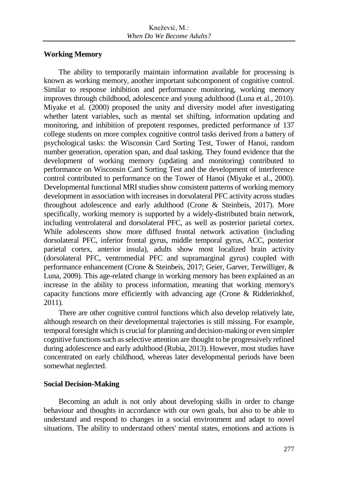### **Working Memory**

The ability to temporarily maintain information available for processing is known as working memory, another important subcomponent of cognitive control. Similar to response inhibition and performance monitoring, working memory improves through childhood, adolescence and young adulthood (Luna et al., 2010). Miyake et al. (2000) proposed the unity and diversity model after investigating whether latent variables, such as mental set shifting, information updating and monitoring, and inhibition of prepotent responses, predicted performance of 137 college students on more complex cognitive control tasks derived from a battery of psychological tasks: the Wisconsin Card Sorting Test, Tower of Hanoi, random number generation, operation span, and dual tasking. They found evidence that the development of working memory (updating and monitoring) contributed to performance on Wisconsin Card Sorting Test and the development of interference control contributed to performance on the Tower of Hanoi (Miyake et al., 2000). Developmental functional MRI studies show consistent patterns of working memory development in association with increases in dorsolateral PFC activity across studies throughout adolescence and early adulthood (Crone & Steinbeis, 2017). More specifically, working memory is supported by a widely-distributed brain network, including ventrolateral and dorsolateral PFC, as well as posterior parietal cortex. While adolescents show more diffused frontal network activation (including dorsolateral PFC, inferior frontal gyrus, middle temporal gyrus, ACC, posterior parietal cortex, anterior insula), adults show most localized brain activity (dorsolateral PFC, ventromedial PFC and supramarginal gyrus) coupled with performance enhancement (Crone & Steinbeis, 2017; Geier, Garver, Terwilliger, & Luna, 2009). This age-related change in working memory has been explained as an increase in the ability to process information, meaning that working memory's capacity functions more efficiently with advancing age (Crone & Ridderinkhof, 2011).

There are other cognitive control functions which also develop relatively late, although research on their developmental trajectories is still missing. For example, temporal foresight which is crucial for planning and decision-making or even simpler cognitive functions such as selective attention are thought to be progressively refined during adolescence and early adulthood (Rubia, 2013). However, most studies have concentrated on early childhood, whereas later developmental periods have been somewhat neglected.

### **Social Decision-Making**

Becoming an adult is not only about developing skills in order to change behaviour and thoughts in accordance with our own goals, but also to be able to understand and respond to changes in a social environment and adapt to novel situations. The ability to understand others' mental states, emotions and actions is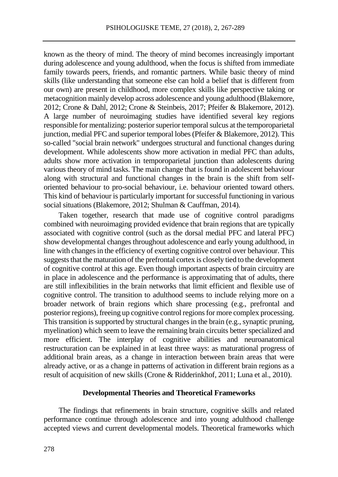known as the theory of mind. The theory of mind becomes increasingly important during adolescence and young adulthood, when the focus is shifted from immediate family towards peers, friends, and romantic partners. While basic theory of mind skills (like understanding that someone else can hold a belief that is different from our own) are present in childhood, more complex skills like perspective taking or metacognition mainly develop across adolescence and young adulthood (Blakemore, 2012; Crone & Dahl, 2012; Crone & Steinbeis, 2017; Pfeifer & Blakemore, 2012). A large number of neuroimaging studies have identified several key regions responsible for mentalizing: posterior superior temporal sulcus at the temporoparietal junction, medial PFC and superior temporal lobes (Pfeifer & Blakemore, 2012). This so-called "social brain network" undergoes structural and functional changes during development. While adolescents show more activation in medial PFC than adults, adults show more activation in temporoparietal junction than adolescents during various theory of mind tasks. The main change that is found in adolescent behaviour along with structural and functional changes in the brain is the shift from selforiented behaviour to pro-social behaviour, i.e. behaviour oriented toward others. This kind of behaviour is particularly important for successful functioning in various social situations (Blakemore, 2012; Shulman & Cauffman, 2014).

Taken together, research that made use of cognitive control paradigms combined with neuroimaging provided evidence that brain regions that are typically associated with cognitive control (such as the dorsal medial PFC and lateral PFC) show developmental changes throughout adolescence and early young adulthood, in line with changes in the efficiency of exerting cognitive control over behaviour. This suggests that the maturation of the prefrontal cortex is closely tied to the development of cognitive control at this age. Even though important aspects of brain circuitry are in place in adolescence and the performance is approximating that of adults, there are still inflexibilities in the brain networks that limit efficient and flexible use of cognitive control. The transition to adulthood seems to include relying more on a broader network of brain regions which share processing (e.g., prefrontal and posterior regions), freeing up cognitive control regions for more complex processing. This transition is supported by structural changes in the brain (e.g., synaptic pruning, myelination) which seem to leave the remaining brain circuits better specialized and more efficient. The interplay of cognitive abilities and neuroanatomical restructuration can be explained in at least three ways: as maturational progress of additional brain areas, as a change in interaction between brain areas that were already active, or as a change in patterns of activation in different brain regions as a result of acquisition of new skills (Crone & Ridderinkhof, 2011; Luna et al., 2010).

### **Developmental Theories and Theoretical Frameworks**

The findings that refinements in brain structure, cognitive skills and related performance continue through adolescence and into young adulthood challenge accepted views and current developmental models. Theoretical frameworks which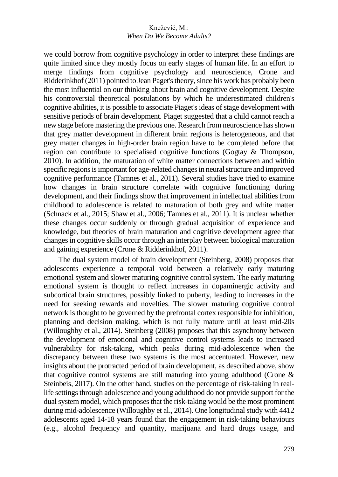we could borrow from cognitive psychology in order to interpret these findings are quite limited since they mostly focus on early stages of human life. In an effort to merge findings from cognitive psychology and neuroscience, Crone and Ridderinkhof (2011) pointed to Jean Paget's theory, since his work has probably been the most influential on our thinking about brain and cognitive development. Despite his controversial theoretical postulations by which he underestimated children's cognitive abilities, it is possible to associate Piaget's ideas of stage development with sensitive periods of brain development. Piaget suggested that a child cannot reach a new stage before mastering the previous one. Research from neuroscience has shown that grey matter development in different brain regions is heterogeneous, and that grey matter changes in high-order brain region have to be completed before that region can contribute to specialised cognitive functions (Gogtay & Thompson, 2010). In addition, the maturation of white matter connections between and within specific regions is important for age-related changes in neural structure and improved cognitive performance (Tamnes et al., 2011). Several studies have tried to examine how changes in brain structure correlate with cognitive functioning during development, and their findings show that improvement in intellectual abilities from childhood to adolescence is related to maturation of both grey and white matter (Schnack et al., 2015; Shaw et al., 2006; Tamnes et al., 2011). It is unclear whether these changes occur suddenly or through gradual acquisition of experience and knowledge, but theories of brain maturation and cognitive development agree that changes in cognitive skills occur through an interplay between biological maturation and gaining experience (Crone & Ridderinkhof, 2011).

The dual system model of brain development (Steinberg, 2008) proposes that adolescents experience a temporal void between a relatively early maturing emotional system and slower maturing cognitive control system. The early maturing emotional system is thought to reflect increases in dopaminergic activity and subcortical brain structures, possibly linked to puberty, leading to increases in the need for seeking rewards and novelties. The slower maturing cognitive control network is thought to be governed by the prefrontal cortex responsible for inhibition, planning and decision making, which is not fully mature until at least mid-20s (Willoughby et al., 2014). Steinberg (2008) proposes that this asynchrony between the development of emotional and cognitive control systems leads to increased vulnerability for risk-taking, which peaks during mid-adolescence when the discrepancy between these two systems is the most accentuated. However, new insights about the protracted period of brain development, as described above, show that cognitive control systems are still maturing into young adulthood (Crone & Steinbeis, 2017). On the other hand, studies on the percentage of risk-taking in reallife settings through adolescence and young adulthood do not provide support for the dual system model, which proposes that the risk-taking would be the most prominent during mid-adolescence (Willoughby et al., 2014). One longitudinal study with 4412 adolescents aged 14-18 years found that the engagement in risk-taking behaviours (e.g., alcohol frequency and quantity, marijuana and hard drugs usage, and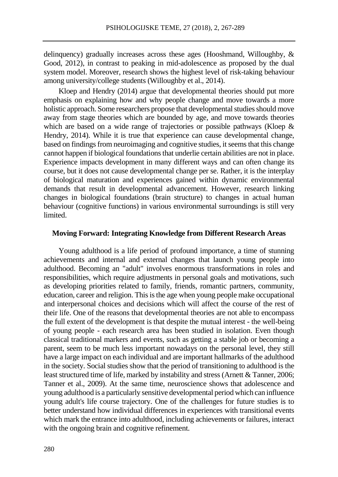delinquency) gradually increases across these ages (Hooshmand, Willoughby, & Good, 2012), in contrast to peaking in mid-adolescence as proposed by the dual system model. Moreover, research shows the highest level of risk-taking behaviour among university/college students (Willoughby et al., 2014).

Kloep and Hendry (2014) argue that developmental theories should put more emphasis on explaining how and why people change and move towards a more holistic approach. Some researchers propose that developmental studies should move away from stage theories which are bounded by age, and move towards theories which are based on a wide range of trajectories or possible pathways (Kloep & Hendry, 2014). While it is true that experience can cause developmental change, based on findings from neuroimaging and cognitive studies, it seems that this change cannot happen if biological foundations that underlie certain abilities are not in place. Experience impacts development in many different ways and can often change its course, but it does not cause developmental change per se. Rather, it is the interplay of biological maturation and experiences gained within dynamic environmental demands that result in developmental advancement. However, research linking changes in biological foundations (brain structure) to changes in actual human behaviour (cognitive functions) in various environmental surroundings is still very limited.

### **Moving Forward: Integrating Knowledge from Different Research Areas**

Young adulthood is a life period of profound importance, a time of stunning achievements and internal and external changes that launch young people into adulthood. Becoming an "adult" involves enormous transformations in roles and responsibilities, which require adjustments in personal goals and motivations, such as developing priorities related to family, friends, romantic partners, community, education, career and religion. This is the age when young people make occupational and interpersonal choices and decisions which will affect the course of the rest of their life. One of the reasons that developmental theories are not able to encompass the full extent of the development is that despite the mutual interest - the well-being of young people - each research area has been studied in isolation. Even though classical traditional markers and events, such as getting a stable job or becoming a parent, seem to be much less important nowadays on the personal level, they still have a large impact on each individual and are important hallmarks of the adulthood in the society. Social studies show that the period of transitioning to adulthood is the least structured time of life, marked by instability and stress (Arnett & Tanner, 2006; Tanner et al., 2009). At the same time, neuroscience shows that adolescence and young adulthood is a particularly sensitive developmental period which can influence young adult's life course trajectory. One of the challenges for future studies is to better understand how individual differences in experiences with transitional events which mark the entrance into adulthood, including achievements or failures, interact with the ongoing brain and cognitive refinement.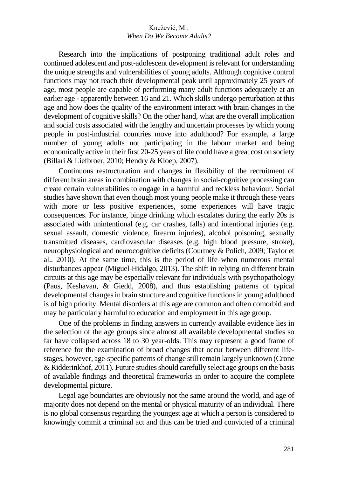Research into the implications of postponing traditional adult roles and continued adolescent and post-adolescent development is relevant for understanding the unique strengths and vulnerabilities of young adults. Although cognitive control functions may not reach their developmental peak until approximately 25 years of age, most people are capable of performing many adult functions adequately at an earlier age - apparently between 16 and 21. Which skills undergo perturbation at this age and how does the quality of the environment interact with brain changes in the development of cognitive skills? On the other hand, what are the overall implication and social costs associated with the lengthy and uncertain processes by which young people in post-industrial countries move into adulthood? For example, a large number of young adults not participating in the labour market and being economically active in their first 20-25 years of life could have a great cost on society (Billari & Liefbroer, 2010; Hendry & Kloep, 2007).

Continuous restructuration and changes in flexibility of the recruitment of different brain areas in combination with changes in social-cognitive processing can create certain vulnerabilities to engage in a harmful and reckless behaviour. Social studies have shown that even though most young people make it through these years with more or less positive experiences, some experiences will have tragic consequences. For instance, binge drinking which escalates during the early 20s is associated with unintentional (e.g. car crashes, falls) and intentional injuries (e.g. sexual assault, domestic violence, firearm injuries), alcohol poisoning, sexually transmitted diseases, cardiovascular diseases (e.g. high blood pressure, stroke), neurophysiological and neurocognitive deficits (Courtney & Polich, 2009; Taylor et al., 2010). At the same time, this is the period of life when numerous mental disturbances appear (Miguel-Hidalgo, 2013). The shift in relying on different brain circuits at this age may be especially relevant for individuals with psychopathology (Paus, Keshavan, & Giedd, 2008), and thus establishing patterns of typical developmental changes in brain structure and cognitive functions in young adulthood is of high priority. Mental disorders at this age are common and often comorbid and may be particularly harmful to education and employment in this age group.

One of the problems in finding answers in currently available evidence lies in the selection of the age groups since almost all available developmental studies so far have collapsed across 18 to 30 year-olds. This may represent a good frame of reference for the examination of broad changes that occur between different lifestages, however, age-specific patterns of change still remain largely unknown (Crone & Ridderinkhof, 2011). Future studies should carefully select age groups on the basis of available findings and theoretical frameworks in order to acquire the complete developmental picture.

Legal age boundaries are obviously not the same around the world, and age of majority does not depend on the mental or physical maturity of an individual. There is no global consensus regarding the youngest age at which a person is considered to knowingly commit a criminal act and thus can be tried and convicted of a criminal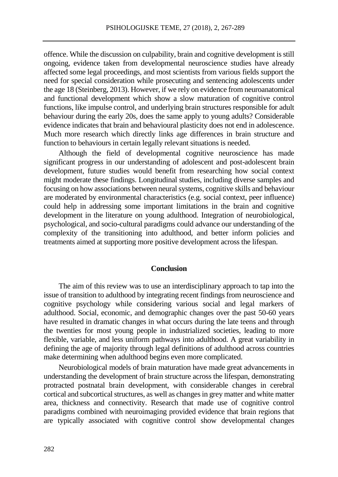offence. While the discussion on culpability, brain and cognitive development is still ongoing, evidence taken from developmental neuroscience studies have already affected some legal proceedings, and most scientists from various fields support the need for special consideration while prosecuting and sentencing adolescents under the age 18 (Steinberg, 2013). However, if we rely on evidence from neuroanatomical and functional development which show a slow maturation of cognitive control functions, like impulse control, and underlying brain structures responsible for adult behaviour during the early 20s, does the same apply to young adults? Considerable evidence indicates that brain and behavioural plasticity does not end in adolescence. Much more research which directly links age differences in brain structure and function to behaviours in certain legally relevant situations is needed.

Although the field of developmental cognitive neuroscience has made significant progress in our understanding of adolescent and post-adolescent brain development, future studies would benefit from researching how social context might moderate these findings. Longitudinal studies, including diverse samples and focusing on how associations between neural systems, cognitive skills and behaviour are moderated by environmental characteristics (e.g. social context, peer influence) could help in addressing some important limitations in the brain and cognitive development in the literature on young adulthood. Integration of neurobiological, psychological, and socio-cultural paradigms could advance our understanding of the complexity of the transitioning into adulthood, and better inform policies and treatments aimed at supporting more positive development across the lifespan.

#### **Conclusion**

The aim of this review was to use an interdisciplinary approach to tap into the issue of transition to adulthood by integrating recent findings from neuroscience and cognitive psychology while considering various social and legal markers of adulthood. Social, economic, and demographic changes over the past 50-60 years have resulted in dramatic changes in what occurs during the late teens and through the twenties for most young people in industrialized societies, leading to more flexible, variable, and less uniform pathways into adulthood. A great variability in defining the age of majority through legal definitions of adulthood across countries make determining when adulthood begins even more complicated.

Neurobiological models of brain maturation have made great advancements in understanding the development of brain structure across the lifespan, demonstrating protracted postnatal brain development, with considerable changes in cerebral cortical and subcortical structures, as well as changes in grey matter and white matter area, thickness and connectivity. Research that made use of cognitive control paradigms combined with neuroimaging provided evidence that brain regions that are typically associated with cognitive control show developmental changes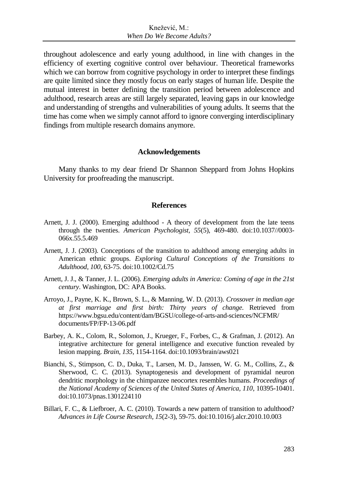throughout adolescence and early young adulthood, in line with changes in the efficiency of exerting cognitive control over behaviour. Theoretical frameworks which we can borrow from cognitive psychology in order to interpret these findings are quite limited since they mostly focus on early stages of human life. Despite the mutual interest in better defining the transition period between adolescence and adulthood, research areas are still largely separated, leaving gaps in our knowledge and understanding of strengths and vulnerabilities of young adults. It seems that the time has come when we simply cannot afford to ignore converging interdisciplinary findings from multiple research domains anymore.

#### **Acknowledgements**

Many thanks to my dear friend Dr Shannon Sheppard from Johns Hopkins University for proofreading the manuscript.

### **References**

- Arnett, J. J. (2000). Emerging adulthood A theory of development from the late teens through the twenties. *American Psychologist, 55*(5), 469-480. doi:10.1037//0003- 066x.55.5.469
- Arnett, J. J. (2003). Conceptions of the transition to adulthood among emerging adults in American ethnic groups. *Exploring Cultural Conceptions of the Transitions to Adulthood, 100*, 63-75. doi:10.1002/Cd.75
- Arnett, J. J., & Tanner, J. L. (2006). *Emerging adults in America: Coming of age in the 21st century*. Washington, DC: APA Books.
- Arroyo, J., Payne, K. K., Brown, S. L., & Manning, W. D. (2013). *Crossover in median age at first marriage and first birth: Thirty years of change.* Retrieved from https://www.bgsu.edu/content/dam/BGSU/college-of-arts-and-sciences/NCFMR/ documents/FP/FP-13-06.pdf
- Barbey, A. K., Colom, R., Solomon, J., Krueger, F., Forbes, C., & Grafman, J. (2012). An integrative architecture for general intelligence and executive function revealed by lesion mapping. *Brain, 135*, 1154-1164. doi:10.1093/brain/aws021
- Bianchi, S., Stimpson, C. D., Duka, T., Larsen, M. D., Janssen, W. G. M., Collins, Z., & Sherwood, C. C. (2013). Synaptogenesis and development of pyramidal neuron dendritic morphology in the chimpanzee neocortex resembles humans. *Proceedings of the National Academy of Sciences of the United States of America, 110*, 10395-10401. doi:10.1073/pnas.1301224110
- Billari, F. C., & Liefbroer, A. C. (2010). Towards a new pattern of transition to adulthood? *Advances in Life Course Research, 15*(2-3), 59-75. doi:10.1016/j.alcr.2010.10.003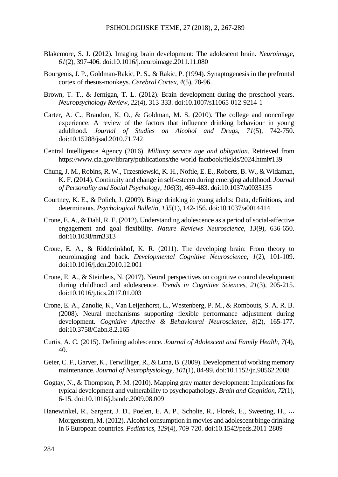- Blakemore, S. J. (2012). Imaging brain development: The adolescent brain. *Neuroimage, 61*(2), 397-406. doi:10.1016/j.neuroimage.2011.11.080
- Bourgeois, J. P., Goldman-Rakic, P. S., & Rakic, P. (1994). Synaptogenesis in the prefrontal cortex of rhesus-monkeys. *Cerebral Cortex, 4*(5), 78-96.
- Brown, T. T., & Jernigan, T. L. (2012). Brain development during the preschool years. *Neuropsychology Review, 22*(4), 313-333. doi:10.1007/s11065-012-9214-1
- Carter, A. C., Brandon, K. O., & Goldman, M. S. (2010). The college and noncollege experience: A review of the factors that influence drinking behaviour in young adulthood. *Journal of Studies on Alcohol and Drugs, 71*(5), 742-750. doi:10.15288/jsad.2010.71.742
- Central Intelligence Agency (2016). *Military service age and obligation*. Retrieved from https://www.cia.gov/library/publications/the-world-factbook/fields/2024.html#139
- Chung, J. M., Robins, R. W., Trzesniewski, K. H., Noftle, E. E., Roberts, B. W., & Widaman, K. F. (2014). Continuity and change in self-esteem during emerging adulthood. *Journal of Personality and Social Psychology, 106*(3), 469-483. doi:10.1037/a0035135
- Courtney, K. E., & Polich, J. (2009). Binge drinking in young adults: Data, definitions, and determinants. *Psychological Bulletin, 135*(1), 142-156. doi:10.1037/a0014414
- Crone, E. A., & Dahl, R. E. (2012). Understanding adolescence as a period of social-affective engagement and goal flexibility. *Nature Reviews Neuroscience, 13*(9), 636-650. doi:10.1038/nrn3313
- Crone, E. A., & Ridderinkhof, K. R. (2011). The developing brain: From theory to neuroimaging and back. *Developmental Cognitive Neuroscience, 1*(2), 101-109. doi:10.1016/j.dcn.2010.12.001
- Crone, E. A., & Steinbeis, N. (2017). Neural perspectives on cognitive control development during childhood and adolescence. *Trends in Cognitive Sciences, 21*(3), 205-215. doi:10.1016/j.tics.2017.01.003
- Crone, E. A., Zanolie, K., Van Leijenhorst, L., Westenberg, P. M., & Rombouts, S. A. R. B. (2008). Neural mechanisms supporting flexible performance adjustment during development. *Cognitive Affective & Behavioural Neuroscience, 8*(2), 165-177. doi:10.3758/Cabn.8.2.165
- Curtis, A. C. (2015). Defining adolescence. *Journal of Adolescent and Family Health, 7*(4), 40.
- Geier, C. F., Garver, K., Terwilliger, R., & Luna, B. (2009). Development of working memory maintenance. *Journal of Neurophysiology, 101*(1), 84-99. doi:10.1152/jn.90562.2008
- Gogtay, N., & Thompson, P. M. (2010). Mapping gray matter development: Implications for typical development and vulnerability to psychopathology. *Brain and Cognition, 72*(1), 6-15. doi:10.1016/j.bandc.2009.08.009
- Hanewinkel, R., Sargent, J. D., Poelen, E. A. P., Scholte, R., Florek, E., Sweeting, H., ⋯ Morgenstern, M. (2012). Alcohol consumption in movies and adolescent binge drinking in 6 European countries. *Pediatrics, 129*(4), 709-720. doi:10.1542/peds.2011-2809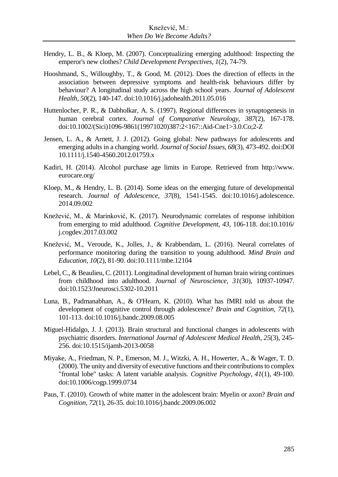- Hendry, L. B., & Kloep, M. (2007). Conceptualizing emerging adulthood: Inspecting the emperor's new clothes? *Child Development Perspectives, 1*(2), 74-79.
- Hooshmand, S., Willoughby, T., & Good, M. (2012). Does the direction of effects in the association between depressive symptoms and health-risk behaviours differ by behaviour? A longitudinal study across the high school years. *Journal of Adolescent Health, 50*(2), 140-147. doi:10.1016/j.jadohealth.2011.05.016
- Huttenlocher, P. R., & Dabholkar, A. S. (1997). Regional differences in synaptogenesis in human cerebral cortex. *Journal of Comparative Neurology, 387*(2), 167-178. doi:10.1002/(Sici)1096-9861(19971020)387:2<167::Aid-Cne1>3.0.Co;2-Z
- Jensen, L. A., & Arnett, J. J. (2012). Going global: New pathways for adolescents and emerging adults in a changing world. *Journal of Social Issues, 68*(3), 473-492. doi:DOI 10.1111/j.1540-4560.2012.01759.x
- Kadiri, H. (2014). Alcohol purchase age limits in Europe. Retrieved from http://www. eurocare.org/
- Kloep, M., & Hendry, L. B. (2014). Some ideas on the emerging future of developmental research. *Journal of Adolescence, 37*(8), 1541-1545. doi:10.1016/j.adolescence. 2014.09.002
- Knežević, M., & Marinković, K. (2017). Neurodynamic correlates of response inhibition from emerging to mid adulthood. *Cognitive Development, 43*, 106-118. doi:10.1016/ j.cogdev.2017.03.002
- Knežević, M., Veroude, K., Jolles, J., & Krabbendam, L. (2016). Neural correlates of performance monitoring during the transition to young adulthood. *Mind Brain and Education, 10*(2), 81-90. doi:10.1111/mbe.12104
- Lebel, C., & Beaulieu, C. (2011). Longitudinal development of human brain wiring continues from childhood into adulthood. *Journal of Neuroscience, 31*(30), 10937-10947. doi:10.1523/Jneurosci.5302-10.2011
- Luna, B., Padmanabhan, A., & O'Hearn, K. (2010). What has fMRI told us about the development of cognitive control through adolescence? *Brain and Cognition, 72*(1), 101-113. doi:10.1016/j.bandc.2009.08.005
- Miguel-Hidalgo, J. J. (2013). Brain structural and functional changes in adolescents with psychiatric disorders. *International Journal of Adolescent Medical Health, 25*(3), 245- 256. doi:10.1515/ijamh-2013-0058
- Miyake, A., Friedman, N. P., Emerson, M. J., Witzki, A. H., Howerter, A., & Wager, T. D. (2000). The unity and diversity of executive functions and their contributions to complex "frontal lobe" tasks: A latent variable analysis. *Cognitive Psychology, 41*(1), 49-100. doi:10.1006/cogp.1999.0734
- Paus, T. (2010). Growth of white matter in the adolescent brain: Myelin or axon? *Brain and Cognition, 72*(1), 26-35. doi:10.1016/j.bandc.2009.06.002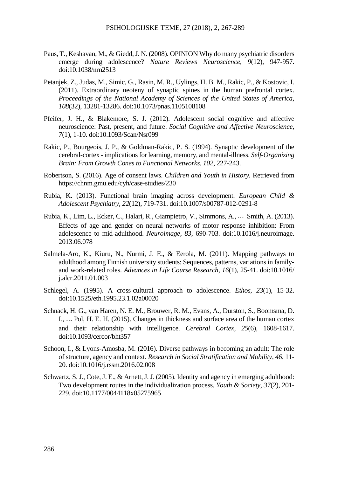- Paus, T., Keshavan, M., & Giedd, J. N. (2008). OPINION Why do many psychiatric disorders emerge during adolescence? *Nature Reviews Neuroscience, 9*(12), 947-957. doi:10.1038/nrn2513
- Petanjek, Z., Judas, M., Simic, G., Rasin, M. R., Uylings, H. B. M., Rakic, P., & Kostovic, I. (2011). Extraordinary neoteny of synaptic spines in the human prefrontal cortex. *Proceedings of the National Academy of Sciences of the United States of America, 108*(32), 13281-13286. doi:10.1073/pnas.1105108108
- Pfeifer, J. H., & Blakemore, S. J. (2012). Adolescent social cognitive and affective neuroscience: Past, present, and future. *Social Cognitive and Affective Neuroscience, 7*(1), 1-10. doi:10.1093/Scan/Nsr099
- Rakic, P., Bourgeois, J. P., & Goldman-Rakic, P. S. (1994). Synaptic development of the cerebral-cortex - implications for learning, memory, and mental-illness. *Self-Organizing Brain: From Growth Cones to Functional Networks, 102*, 227-243.
- Robertson, S. (2016). Age of consent laws. *Children and Youth in History.* Retrieved from https://chnm.gmu.edu/cyh/case-studies/230
- Rubia, K. (2013). Functional brain imaging across development. *European Child & Adolescent Psychiatry, 22*(12), 719-731. doi:10.1007/s00787-012-0291-8
- Rubia, K., Lim, L., Ecker, C., Halari, R., Giampietro, V., Simmons, A., ⋯ Smith, A. (2013). Effects of age and gender on neural networks of motor response inhibition: From adolescence to mid-adulthood. *Neuroimage, 83*, 690-703. doi:10.1016/j.neuroimage. 2013.06.078
- Salmela-Aro, K., Kiuru, N., Nurmi, J. E., & Eerola, M. (2011). Mapping pathways to adulthood among Finnish university students: Sequences, patterns, variations in familyand work-related roles. *Advances in Life Course Research, 16*(1), 25-41. doi:10.1016/ j.alcr.2011.01.003
- Schlegel, A. (1995). A cross-cultural approach to adolescence. *Ethos, 23*(1), 15-32. doi:10.1525/eth.1995.23.1.02a00020
- Schnack, H. G., van Haren, N. E. M., Brouwer, R. M., Evans, A., Durston, S., Boomsma, D. I., ⋯ Pol, H. E. H. (2015). Changes in thickness and surface area of the human cortex and their relationship with intelligence. *Cerebral Cortex, 25*(6), 1608-1617. doi:10.1093/cercor/bht357
- Schoon, I., & Lyons-Amosba, M. (2016). Diverse pathways in becoming an adult: The role of structure, agency and context. *Research in Social Stratification and Mobility, 46*, 11- 20. doi:10.1016/j.rssm.2016.02.008
- Schwartz, S. J., Cote, J. E., & Arnett, J. J. (2005). Identity and agency in emerging adulthood: Two development routes in the individualization process. *Youth & Society, 37*(2), 201- 229. doi:10.1177/0044118x05275965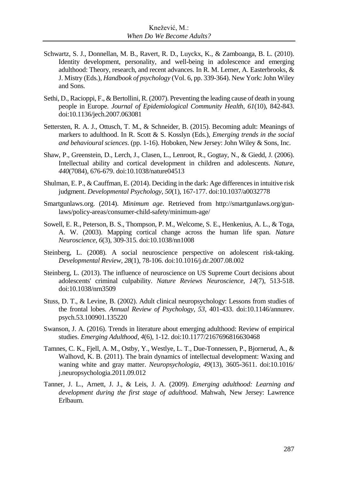- Schwartz, S. J., Donnellan, M. B., Ravert, R. D., Luyckx, K., & Zamboanga, B. L. (2010). Identity development, personality, and well-being in adolescence and emerging adulthood: Theory, research, and recent advances. In R. M. Lerner, A. Easterbrooks, & J. Mistry (Eds.), *Handbook of psychology* (Vol. 6, pp. 339-364). New York: John Wiley and Sons.
- Sethi, D., Racioppi, F., & Bertollini, R. (2007). Preventing the leading cause of death in young people in Europe. *Journal of Epidemiological Community Health, 61*(10), 842-843. doi:10.1136/jech.2007.063081
- Settersten, R. A. J., Ottusch, T. M., & Schneider, B. (2015). Becoming adult: Meanings of markers to adulthood. In R. Scott & S. Kosslyn (Eds.), *Emerging trends in the social and behavioural sciences*. (pp. 1-16). Hoboken, New Jersey: John Wiley & Sons, Inc.
- Shaw, P., Greenstein, D., Lerch, J., Clasen, L., Lenroot, R., Gogtay, N., & Giedd, J. (2006). Intellectual ability and cortical development in children and adolescents. *Nature, 440*(7084), 676-679. doi:10.1038/nature04513
- Shulman, E. P., & Cauffman, E. (2014). Deciding in the dark: Age differences in intuitive risk judgment. *Developmental Psychology, 50*(1), 167-177. doi:10.1037/a0032778
- Smartgunlaws.org. (2014). *Minimum age*. Retrieved from http://smartgunlaws.org/gunlaws/policy-areas/consumer-child-safety/minimum-age/
- Sowell, E. R., Peterson, B. S., Thompson, P. M., Welcome, S. E., Henkenius, A. L., & Toga, A. W. (2003). Mapping cortical change across the human life span. *Nature Neuroscience, 6*(3), 309-315. doi:10.1038/nn1008
- Steinberg, L. (2008). A social neuroscience perspective on adolescent risk-taking. *Developmental Review, 28*(1), 78-106. doi:10.1016/j.dr.2007.08.002
- Steinberg, L. (2013). The influence of neuroscience on US Supreme Court decisions about adolescents' criminal culpability. *Nature Reviews Neuroscience, 14*(7), 513-518. doi:10.1038/nrn3509
- Stuss, D. T., & Levine, B. (2002). Adult clinical neuropsychology: Lessons from studies of the frontal lobes. *Annual Review of Psychology, 53*, 401-433. doi:10.1146/annurev. psych.53.100901.135220
- Swanson, J. A. (2016). Trends in literature about emerging adulthood: Review of empirical studies. *Emerging Adulthood*, *4*(6), 1-12. doi:10.1177/2167696816630468
- Tamnes, C. K., Fjell, A. M., Ostby, Y., Westlye, L. T., Due-Tonnessen, P., Bjornerud, A., & Walhovd, K. B. (2011). The brain dynamics of intellectual development: Waxing and waning white and gray matter. *Neuropsychologia, 49*(13), 3605-3611. doi:10.1016/ j.neuropsychologia.2011.09.012
- Tanner, J. L., Arnett, J. J., & Leis, J. A. (2009). *Emerging adulthood: Learning and development during the first stage of adulthood*. Mahwah, New Jersey: Lawrence Erlbaum.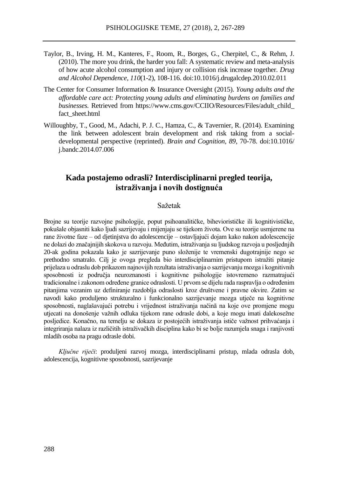- Taylor, B., Irving, H. M., Kanteres, F., Room, R., Borges, G., Cherpitel, C., & Rehm, J. (2010). The more you drink, the harder you fall: A systematic review and meta-analysis of how acute alcohol consumption and injury or collision risk increase together. *Drug and Alcohol Dependence, 110*(1-2), 108-116. doi:10.1016/j.drugalcdep.2010.02.011
- The Center for Consumer Information & Insurance Oversight (2015). *Young adults and the affordable care act: Protecting young adults and eliminating burdens on families and businesses.* Retrieved from https://www.cms.gov/CCIIO/Resources/Files/adult\_child\_ fact\_sheet.html
- Willoughby, T., Good, M., Adachi, P. J. C., Hamza, C., & Tavernier, R. (2014). Examining the link between adolescent brain development and risk taking from a socialdevelopmental perspective (reprinted). *Brain and Cognition, 89*, 70-78. doi:10.1016/ j.bandc.2014.07.006

### **Kada postajemo odrasli? Interdisciplinarni pregled teorija, istraživanja i novih dostignuća**

### Sažetak

Brojne su teorije razvojne psihologije, poput psihoanalitičke, biheviorističke ili kognitivističke, pokušale objasniti kako ljudi sazrijevaju i mijenjaju se tijekom života. Ove su teorije usmjerene na rane životne faze – od djetinjstva do adolescencije – ostavljajući dojam kako nakon adolescencije ne dolazi do značajnijih skokova u razvoju. Međutim, istraživanja su ljudskog razvoja u posljednjih 20-ak godina pokazala kako je sazrijevanje puno složenije te vremenski dugotrajnije nego se prethodno smatralo. Cilj je ovoga pregleda bio interdisciplinarnim pristupom istražiti pitanje prijelaza u odraslu dob prikazom najnovijih rezultata istraživanja o sazrijevanju mozga i kognitivnih sposobnosti iz područja neuroznanosti i kognitivne psihologije istovremeno razmatrajući tradicionalne i zakonom određene granice odraslosti. U prvom se dijelu rada raspravlja o određenim pitanjima vezanim uz definiranje razdoblja odraslosti kroz društvene i pravne okvire. Zatim se navodi kako produljeno strukturalno i funkcionalno sazrijevanje mozga utječe na kognitivne sposobnosti, naglašavajući potrebu i vrijednost istraživanja načinā na koje ove promjene mogu utjecati na donošenje važnih odluka tijekom rane odrasle dobi, a koje mogu imati dalekosežne posljedice. Konačno, na temelju se dokaza iz postojećih istraživanja ističe važnost prihvaćanja i integriranja nalaza iz različitih istraživačkih disciplina kako bi se bolje razumjela snaga i ranjivosti mladih osoba na pragu odrasle dobi.

*Ključne riječi*: produljeni razvoj mozga, interdisciplinarni pristup, mlada odrasla dob, adolescencija, kognitivne sposobnosti, sazrijevanje